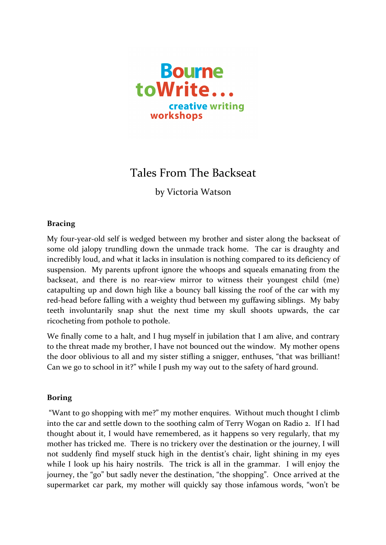

## Tales From The Backseat

by Victoria Watson

## **Bracing**

My four-year-old self is wedged between my brother and sister along the backseat of some old jalopy trundling down the unmade track home. The car is draughty and incredibly loud, and what it lacks in insulation is nothing compared to its deficiency of suspension. My parents upfront ignore the whoops and squeals emanating from the backseat, and there is no rear-view mirror to witness their youngest child (me) catapulting up and down high like a bouncy ball kissing the roof of the car with my red-head before falling with a weighty thud between my guffawing siblings. My baby teeth involuntarily snap shut the next time my skull shoots upwards, the car ricocheting from pothole to pothole.

We finally come to a halt, and I hug myself in jubilation that I am alive, and contrary to the threat made my brother, I have not bounced out the window. My mother opens the door oblivious to all and my sister stifling a snigger, enthuses, "that was brilliant! Can we go to school in it?" while I push my way out to the safety of hard ground.

## **Boring**

"Want to go shopping with me?" my mother enquires. Without much thought I climb into the car and settle down to the soothing calm of Terry Wogan on Radio 2. If I had thought about it, I would have remembered, as it happens so very regularly, that my mother has tricked me. There is no trickery over the destination or the journey, I will not suddenly find myself stuck high in the dentist's chair, light shining in my eyes while I look up his hairy nostrils. The trick is all in the grammar. I will enjoy the journey, the "go" but sadly never the destination, "the shopping". Once arrived at the supermarket car park, my mother will quickly say those infamous words, "won't be